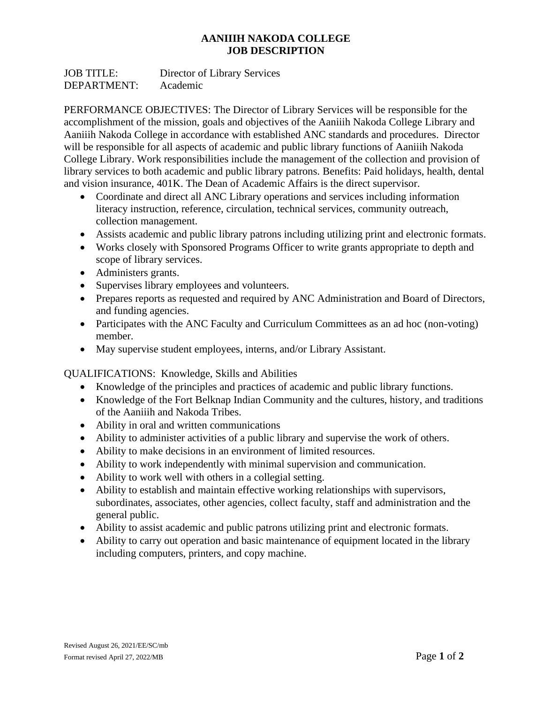## **AANIIIH NAKODA COLLEGE JOB DESCRIPTION**

JOB TITLE: Director of Library Services DEPARTMENT: Academic

PERFORMANCE OBJECTIVES: The Director of Library Services will be responsible for the accomplishment of the mission, goals and objectives of the Aaniiih Nakoda College Library and Aaniiih Nakoda College in accordance with established ANC standards and procedures. Director will be responsible for all aspects of academic and public library functions of Aaniiih Nakoda College Library. Work responsibilities include the management of the collection and provision of library services to both academic and public library patrons. Benefits: Paid holidays, health, dental and vision insurance, 401K. The Dean of Academic Affairs is the direct supervisor.

- Coordinate and direct all ANC Library operations and services including information literacy instruction, reference, circulation, technical services, community outreach, collection management.
- Assists academic and public library patrons including utilizing print and electronic formats.
- Works closely with Sponsored Programs Officer to write grants appropriate to depth and scope of library services.
- Administers grants.
- Supervises library employees and volunteers.
- Prepares reports as requested and required by ANC Administration and Board of Directors, and funding agencies.
- Participates with the ANC Faculty and Curriculum Committees as an ad hoc (non-voting) member.
- May supervise student employees, interns, and/or Library Assistant.

## QUALIFICATIONS: Knowledge, Skills and Abilities

- Knowledge of the principles and practices of academic and public library functions.
- Knowledge of the Fort Belknap Indian Community and the cultures, history, and traditions of the Aaniiih and Nakoda Tribes.
- Ability in oral and written communications
- Ability to administer activities of a public library and supervise the work of others.
- Ability to make decisions in an environment of limited resources.
- Ability to work independently with minimal supervision and communication.
- Ability to work well with others in a collegial setting.
- Ability to establish and maintain effective working relationships with supervisors, subordinates, associates, other agencies, collect faculty, staff and administration and the general public.
- Ability to assist academic and public patrons utilizing print and electronic formats.
- Ability to carry out operation and basic maintenance of equipment located in the library including computers, printers, and copy machine.